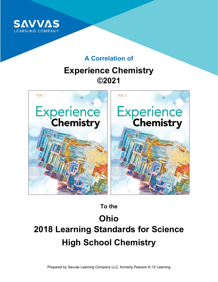

## **A Correlation of**

## **Experience Chemistry ©2021**



**To the**

# **Ohio 2018 Learning Standards for Science High School Chemistry**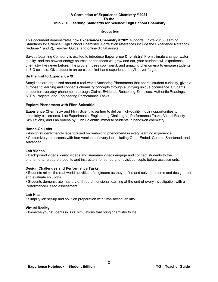#### **Introduction**

This document demonstrates how **Experience Chemistry ©2021** supports Ohio's 2018 Learning Standards for Science: High School Chemistry**.** Correlation references include the Experience Notebook (Volume 1 and 2), Teacher Guide, and online digital assets.

Savvas Learning Company is excited to introduce **Experience Chemistry!** From climate change, water quality, and the newest energy sources, to the foods we grow and eat, your students will experience chemistry like never before. The program uses cool, weird, and amazing phenomena to engage students in 3-D science. Give students an up-close, first-hand experience they'll never forget.

#### **Be the first to** *Experience It!*

Storylines are organized around a real-world Anchoring Phenomena that sparks student curiosity, gives a purpose to learning and connects chemistry concepts through a unifying unique occurrence. Students encounter everyday phenomena through Claims-Evidence Reasoning Exercises, Authentic Readings, STEM Projects, and Engineering Performance Tasks.

#### **Explore Phenomena with Flinn Scientific!**

**Experience Chemistry** and Flinn Scientific partner to deliver high-quality inquiry opportunities to chemistry classrooms. Lab Experiments, Engineering Challenges, Performance Tasks, Virtual Reality Simulations, and Lab Videos by Flinn Scientific immerse students in hands-on chemistry.

#### **Hands-On Labs**

• Assign student-friendly labs focused on real-world phenomena in every learning experience.

• Customize your lessons with four versions of every lab including Open-Ended, Guided, Shortened, and Advanced.

#### **Lab Videos**

• Background videos, demo videos and summary videos engage and connect students to the phenomena, prepare students and instructors for set-up and revisit concepts before assessments.

#### **Design Challenges and Performance Tasks**

• Students mimic the real-world activities of engineers as they define and solve problems and design, test and evaluate solutions.

• Students demonstrate mastery of three-dimensional learning at the end of every Investigation with a Performance-Based assessment.

#### **Lab Kits**

• Simplify lab set-up and solution preparation with time-saving lab kits.

#### **Virtual Reality**

• Immerse your students in 360º simulations that bring chemistry to life.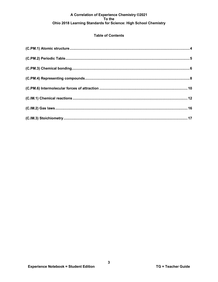#### **Table of Contents**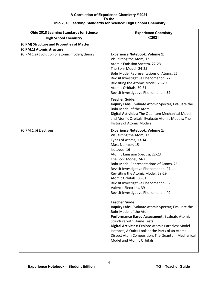| <b>Ohio 2018 Learning Standards for Science</b><br><b>High School Chemistry</b> | <b>Experience Chemistry</b><br>©2021                                                                                                                                                                                                                                                                                                                                                                                                                                                                                                                                                                                                                                                                                                                                                                                                                   |
|---------------------------------------------------------------------------------|--------------------------------------------------------------------------------------------------------------------------------------------------------------------------------------------------------------------------------------------------------------------------------------------------------------------------------------------------------------------------------------------------------------------------------------------------------------------------------------------------------------------------------------------------------------------------------------------------------------------------------------------------------------------------------------------------------------------------------------------------------------------------------------------------------------------------------------------------------|
| (C.PM) Structure and Properties of Matter                                       |                                                                                                                                                                                                                                                                                                                                                                                                                                                                                                                                                                                                                                                                                                                                                                                                                                                        |
| (C.PM.1) Atomic structure                                                       |                                                                                                                                                                                                                                                                                                                                                                                                                                                                                                                                                                                                                                                                                                                                                                                                                                                        |
| (C.PM.1.a) Evolution of atomic models/theory                                    | <b>Experience Notebook, Volume 1:</b><br>Visualizing the Atom, 12<br>Atomic Emission Spectra, 22-23<br>The Bohr Model, 24-25<br>Bohr Model Representations of Atoms, 26<br>Revisit Investigative Phenomenon, 27<br>Revisiting the Atomic Model, 28-29<br>Atomic Orbitals, 30-31<br>Revisit Investigative Phenomenon, 32                                                                                                                                                                                                                                                                                                                                                                                                                                                                                                                                |
|                                                                                 | <b>Teacher Guide:</b><br>Inquiry Labs: Evaluate Atomic Spectra; Evaluate the<br>Bohr Model of the Atom<br>Digital Activities: The Quantum Mechanical Model<br>and Atomic Orbitals; Evaluate Atomic Models; The<br><b>History of Atomic Models</b>                                                                                                                                                                                                                                                                                                                                                                                                                                                                                                                                                                                                      |
| (C.PM.1.b) Electrons                                                            | <b>Experience Notebook, Volume 1:</b><br>Visualizing the Atom, 12<br>Types of Atoms, 13-14<br>Mass Number, 15<br>Isotopes, 16<br>Atomic Emission Spectra, 22-23<br>The Bohr Model, 24-25<br>Bohr Model Representations of Atoms, 26<br>Revisit Investigative Phenomenon, 27<br>Revisiting the Atomic Model, 28-29<br>Atomic Orbitals, 30-31<br>Revisit Investigative Phenomenon, 32<br>Valence Electrons, 39<br>Revisit Investigative Phenomenon, 40<br><b>Teacher Guide:</b><br>Inquiry Labs: Evaluate Atomic Spectra; Evaluate the<br>Bohr Model of the Atom<br>Performance Based Assessment: Evaluate Atomic<br><b>Structure with Flame Tests</b><br>Digital Activities: Explore Atomic Particles; Model<br>Isotopes; A Quick Look at the Parts of an Atom;<br>Dissect Atom Composition; The Quantum Mechanical<br><b>Model and Atomic Orbitals</b> |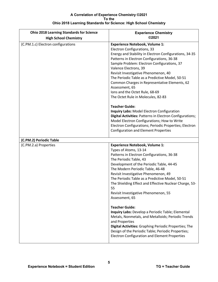| <b>Ohio 2018 Learning Standards for Science</b><br><b>High School Chemistry</b> | <b>Experience Chemistry</b><br>©2021                                                                                                                                                                                                                                                                                                                                                                                                                                                                                                                                                                                                                                                                                                                                                  |
|---------------------------------------------------------------------------------|---------------------------------------------------------------------------------------------------------------------------------------------------------------------------------------------------------------------------------------------------------------------------------------------------------------------------------------------------------------------------------------------------------------------------------------------------------------------------------------------------------------------------------------------------------------------------------------------------------------------------------------------------------------------------------------------------------------------------------------------------------------------------------------|
| (C.PM.1.c) Electron configurations                                              | <b>Experience Notebook, Volume 1:</b><br>Electron Configurations, 33<br>Energy and Stability in Electron Configurations, 34-35<br>Patterns in Electron Configurations, 36-38<br>Sample Problem: Electron Configurations, 37<br>Valence Electrons, 39<br>Revisit Investigative Phenomenon, 40<br>The Periodic Table as a Predictive Model, 50-51<br>Common Charges in Representative Elements, 62<br>Assessment, 65<br>Ions and the Octet Rule, 68-69<br>The Octet Rule in Molecules, 82-83<br><b>Teacher Guide:</b><br>Inquiry Labs: Model Electron Configuration<br>Digital Activities: Patterns in Electron Configurations;<br>Model Electron Configurations; How to Write<br>Electron Configurations; Periodic Properties; Electron<br><b>Configuration and Element Properties</b> |
| (C.PM.2) Periodic Table                                                         |                                                                                                                                                                                                                                                                                                                                                                                                                                                                                                                                                                                                                                                                                                                                                                                       |
| (C.PM.2.a) Properties                                                           | <b>Experience Notebook, Volume 1:</b><br>Types of Atoms, 13-14<br>Patterns in Electron Configurations, 36-38<br>The Periodic Table, 43<br>Development of the Periodic Table, 44-45<br>The Modern Periodic Table, 46-48<br>Revisit Investigative Phenomenon, 49<br>The Periodic Table as a Predictive Model, 50-51<br>The Shielding Effect and Effective Nuclear Charge, 53-<br>55<br>Revisit Investigative Phenomenon, 55<br>Assessment, 65<br><b>Teacher Guide:</b><br>Inquiry Labs: Develop a Periodic Table; Elemental<br>Metals, Nonmetals, and Metalloids; Periodic Trends<br>and Properties<br>Digital Activities: Graphing Periodic Properties; The<br>Design of the Periodic Table; Periodic Properties;<br><b>Electron Configuration and Element Properties</b>              |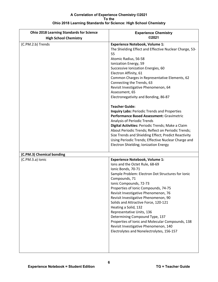| <b>Ohio 2018 Learning Standards for Science</b> | <b>Experience Chemistry</b>                                                                                                                                                                                                                                                                                                                                                                                                                                                                                                                                                                                                   |
|-------------------------------------------------|-------------------------------------------------------------------------------------------------------------------------------------------------------------------------------------------------------------------------------------------------------------------------------------------------------------------------------------------------------------------------------------------------------------------------------------------------------------------------------------------------------------------------------------------------------------------------------------------------------------------------------|
| <b>High School Chemistry</b>                    | ©2021                                                                                                                                                                                                                                                                                                                                                                                                                                                                                                                                                                                                                         |
| (C.PM.2.b) Trends                               | <b>Experience Notebook, Volume 1:</b><br>The Shielding Effect and Effective Nuclear Charge, 53-<br>55<br>Atomic Radius, 56-58<br>Ionization Energy, 59<br>Successive Ionization Energies, 60<br>Electron Affinity, 61<br>Common Charges in Representative Elements, 62<br>Connecting the Trends, 63<br>Revisit Investigative Phenomenon, 64<br>Assessment, 65<br>Electronegativity and Bonding, 86-87<br><b>Teacher Guide:</b><br><b>Inquiry Labs: Periodic Trends and Properties</b><br>Performance Based Assessment: Gravimetric<br><b>Analysis of Periodic Trends</b><br>Digital Activities: Periodic Trends; Make a Claim |
|                                                 | About Periodic Trends; Reflect on Periodic Trends;<br>Size Trends and Shielding Effect; Predict Reactivity<br>Using Periodic Trends; Effective Nuclear Charge and<br>Electron Shielding; Ionization Energy                                                                                                                                                                                                                                                                                                                                                                                                                    |
| (C.PM.3) Chemical bonding                       |                                                                                                                                                                                                                                                                                                                                                                                                                                                                                                                                                                                                                               |
| (C.PM.3.a) Ionic                                | <b>Experience Notebook, Volume 1:</b><br>Ions and the Octet Rule, 68-69<br>Ionic Bonds, 70-71<br>Sample Problem: Electron Dot Structures for Ionic<br>Compounds, 71<br>Ionic Compounds, 72-73<br>Properties of Ionic Compounds, 74-75<br>Revisit Investigative Phenomenon, 76<br>Revisit Investigative Phenomenon, 90<br>Solids and Attractive Force, 120-121<br>Heating a Solid, 132<br>Representative Units, 136<br>Determining Compound Type, 137<br>Properties of Ionic and Molecular Compounds, 138<br>Revisit Investigative Phenomenon, 140<br>Electrolytes and Nonelectrolytes, 156-157                                |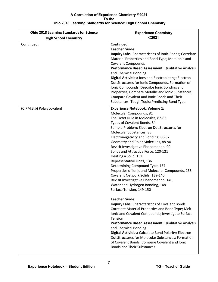| <b>Ohio 2018 Learning Standards for Science</b><br><b>High School Chemistry</b> | <b>Experience Chemistry</b><br>©2021                                                                                                                                                                                                                                                                                                                                                                                                                                                                                                                                                                                                                                                                                                                                                                                                                          |
|---------------------------------------------------------------------------------|---------------------------------------------------------------------------------------------------------------------------------------------------------------------------------------------------------------------------------------------------------------------------------------------------------------------------------------------------------------------------------------------------------------------------------------------------------------------------------------------------------------------------------------------------------------------------------------------------------------------------------------------------------------------------------------------------------------------------------------------------------------------------------------------------------------------------------------------------------------|
| Continued:                                                                      | Continued:<br><b>Teacher Guide:</b><br><b>Inquiry Labs:</b> Characteristics of Ionic Bonds; Correlate<br>Material Properties and Bond Type; Melt Ionic and<br><b>Covalent Compounds</b><br>Performance Based Assessment: Qualitative Analysis<br>and Chemical Bonding<br>Digital Activities: Ions and Electroplating; Electron<br>Dot Structures for Ionic Compounds, Formation of<br>Ionic Compounds; Describe Ionic Bonding and<br>Properties; Compare Metallic and Ionic Substances;<br>Compare Covalent and Ionic Bonds and Their<br>Substances; Tough Tools; Predicting Bond Type                                                                                                                                                                                                                                                                        |
| (C.PM.3.b) Polar/covalent                                                       | <b>Experience Notebook, Volume 1:</b><br>Molecular Compounds, 81<br>The Octet Rule in Molecules, 82-83<br>Types of Covalent Bonds, 84<br>Sample Problem: Electron Dot Structures for<br>Molecular Substances, 85<br>Electronegativity and Bonding, 86-87<br>Geometry and Polar Molecules, 88-90<br>Revisit Investigative Phenomenon, 90<br>Solids and Attractive Force, 120-121<br>Heating a Solid, 132<br>Representative Units, 136<br>Determining Compound Type, 137<br>Properties of Ionic and Molecular Compounds, 138<br>Covalent Network Solids, 139-140<br>Revisit Investigative Phenomenon, 140<br>Water and Hydrogen Bonding, 148<br>Surface Tension, 149-150<br><b>Teacher Guide:</b><br>Inquiry Labs: Characteristics of Covalent Bonds;<br>Correlate Material Properties and Bond Type; Melt<br>Ionic and Covalent Compounds; Investigate Surface |
|                                                                                 | Tension<br>Performance Based Assessment: Qualitative Analysis<br>and Chemical Bonding<br>Digital Activities: Calculate Bond Polarity; Electron<br>Dot Structures for Molecular Substances; Formation<br>of Covalent Bonds; Compare Covalent and Ionic<br><b>Bonds and Their Substances</b>                                                                                                                                                                                                                                                                                                                                                                                                                                                                                                                                                                    |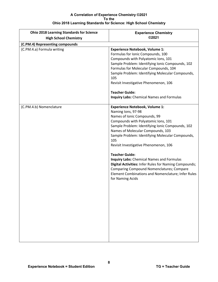| <b>Ohio 2018 Learning Standards for Science</b> | <b>Experience Chemistry</b>                                                                                                                                                                                                                                                                                                                                                                                                                                                                                                                                                                         |
|-------------------------------------------------|-----------------------------------------------------------------------------------------------------------------------------------------------------------------------------------------------------------------------------------------------------------------------------------------------------------------------------------------------------------------------------------------------------------------------------------------------------------------------------------------------------------------------------------------------------------------------------------------------------|
| <b>High School Chemistry</b>                    | ©2021                                                                                                                                                                                                                                                                                                                                                                                                                                                                                                                                                                                               |
| (C.PM.4) Representing compounds                 |                                                                                                                                                                                                                                                                                                                                                                                                                                                                                                                                                                                                     |
| (C.PM.4.a) Formula writing                      | <b>Experience Notebook, Volume 1:</b><br>Formulas for Ionic Compounds, 100<br>Compounds with Polyatomic Ions, 101<br>Sample Problem: Identifying Ionic Compounds, 102<br>Formulas for Molecular Compounds, 104<br>Sample Problem: Identifying Molecular Compounds,<br>105<br>Revisit Investigative Phenomenon, 106<br><b>Teacher Guide:</b><br><b>Inquiry Labs:</b> Chemical Names and Formulas                                                                                                                                                                                                     |
| (C.PM.4.b) Nomenclature                         | <b>Experience Notebook, Volume 1:</b><br>Naming Ions, 97-98<br>Names of Ionic Compounds, 99<br>Compounds with Polyatomic Ions, 101<br>Sample Problem: Identifying Ionic Compounds, 102<br>Names of Molecular Compounds, 103<br>Sample Problem: Identifying Molecular Compounds,<br>105<br>Revisit Investigative Phenomenon, 106<br><b>Teacher Guide:</b><br><b>Inquiry Labs:</b> Chemical Names and Formulas<br>Digital Activities: Infer Rules for Naming Compounds;<br><b>Comparing Compound Nomenclatures; Compare</b><br>Element Combinations and Nomenclature; Infer Rules<br>for Naming Acids |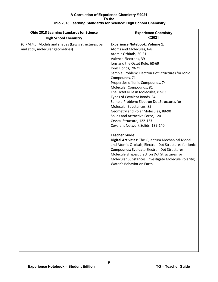| <b>Ohio 2018 Learning Standards for Science</b><br><b>High School Chemistry</b> | <b>Experience Chemistry</b><br>©2021                   |
|---------------------------------------------------------------------------------|--------------------------------------------------------|
| (C.PM.4.c) Models and shapes (Lewis structures, ball                            | <b>Experience Notebook, Volume 1:</b>                  |
| and stick, molecular geometries)                                                | Atoms and Molecules, 6-8                               |
|                                                                                 | Atomic Orbitals, 30-31                                 |
|                                                                                 | Valence Electrons, 39                                  |
|                                                                                 | Ions and the Octet Rule, 68-69                         |
|                                                                                 | Ionic Bonds, 70-71                                     |
|                                                                                 | Sample Problem: Electron Dot Structures for Ionic      |
|                                                                                 | Compounds, 71                                          |
|                                                                                 | Properties of Ionic Compounds, 74                      |
|                                                                                 | Molecular Compounds, 81                                |
|                                                                                 | The Octet Rule in Molecules, 82-83                     |
|                                                                                 | Types of Covalent Bonds, 84                            |
|                                                                                 | Sample Problem: Electron Dot Structures for            |
|                                                                                 | Molecular Substances, 85                               |
|                                                                                 | Geometry and Polar Molecules, 88-90                    |
|                                                                                 | Solids and Attractive Force, 120                       |
|                                                                                 | Crystal Structure, 122-123                             |
|                                                                                 | Covalent Network Solids, 139-140                       |
|                                                                                 | <b>Teacher Guide:</b>                                  |
|                                                                                 | Digital Activities: The Quantum Mechanical Model       |
|                                                                                 | and Atomic Orbitals; Electron Dot Structures for Ionic |
|                                                                                 | Compounds; Evaluate Electron Dot Structures;           |
|                                                                                 | Molecule Shapes; Electron Dot Structures for           |
|                                                                                 | Molecular Substances; Investigate Molecule Polarity;   |
|                                                                                 | Water's Behavior on Earth                              |
|                                                                                 |                                                        |
|                                                                                 |                                                        |
|                                                                                 |                                                        |
|                                                                                 |                                                        |
|                                                                                 |                                                        |
|                                                                                 |                                                        |
|                                                                                 |                                                        |
|                                                                                 |                                                        |
|                                                                                 |                                                        |
|                                                                                 |                                                        |
|                                                                                 |                                                        |
|                                                                                 |                                                        |
|                                                                                 |                                                        |
|                                                                                 |                                                        |
|                                                                                 |                                                        |
|                                                                                 |                                                        |
|                                                                                 |                                                        |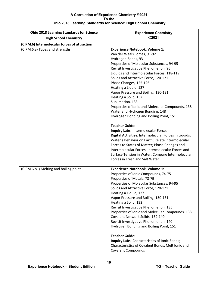| <b>Ohio 2018 Learning Standards for Science</b> | <b>Experience Chemistry</b>                                                                                                                                                                                                                                                                                                                                                                                                                                                                                                                                                                                                                                                |
|-------------------------------------------------|----------------------------------------------------------------------------------------------------------------------------------------------------------------------------------------------------------------------------------------------------------------------------------------------------------------------------------------------------------------------------------------------------------------------------------------------------------------------------------------------------------------------------------------------------------------------------------------------------------------------------------------------------------------------------|
| <b>High School Chemistry</b>                    | ©2021                                                                                                                                                                                                                                                                                                                                                                                                                                                                                                                                                                                                                                                                      |
| (C.PM.6) Intermolecular forces of attraction    |                                                                                                                                                                                                                                                                                                                                                                                                                                                                                                                                                                                                                                                                            |
| (C.PM.6.a) Types and strengths                  | <b>Experience Notebook, Volume 1:</b><br>Van der Waals Forces, 91-92<br>Hydrogen Bonds, 93<br>Properties of Molecular Substances, 94-95<br>Revisit Investigative Phenomenon, 96<br>Liquids and Intermolecular Forces, 118-119<br>Solids and Attractive Force, 120-121<br>Phase Changes, 125-126<br>Heating a Liquid, 127<br>Vapor Pressure and Boiling, 130-131<br>Heating a Solid, 132<br>Sublimation, 133<br>Properties of Ionic and Molecular Compounds, 138<br>Water and Hydrogen Bonding, 148<br>Hydrogen Bonding and Boiling Point, 151                                                                                                                              |
|                                                 | <b>Teacher Guide:</b><br><b>Inquiry Labs: Intermolecular Forces</b><br>Digital Activities: Intermolecular Forces in Liquids;<br>Water's Behavior on Earth; Relate Intermolecular<br>Forces to States of Matter; Phase Changes and<br>Intermolecular Forces; Intermolecular Forces and<br>Surface Tension in Water; Compare Intermolecular<br>Forces in Fresh and Salt Water                                                                                                                                                                                                                                                                                                |
| (C.PM.6.b.i) Melting and boiling point          | <b>Experience Notebook, Volume 1:</b><br>Properties of Ionic Compounds, 74-75<br>Properties of Metals, 78-79<br>Properties of Molecular Substances, 94-95<br>Solids and Attractive Force, 120-121<br>Heating a Liquid, 127<br>Vapor Pressure and Boiling, 130-131<br>Heating a Solid, 132<br>Revisit Investigative Phenomenon, 135<br>Properties of Ionic and Molecular Compounds, 138<br>Covalent Network Solids, 139-140<br>Revisit Investigative Phenomenon, 140<br>Hydrogen Bonding and Boiling Point, 151<br><b>Teacher Guide:</b><br>Inquiry Labs: Characteristics of Ionic Bonds;<br>Characteristics of Covalent Bonds; Melt Ionic and<br><b>Covalent Compounds</b> |

**10**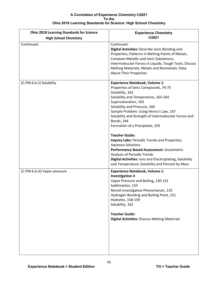| <b>Ohio 2018 Learning Standards for Science</b><br><b>High School Chemistry</b> | <b>Experience Chemistry</b><br>©2021                                                                                                                                                                                                                                                                                                                                                                                                                                                                                                                                                                                                                             |
|---------------------------------------------------------------------------------|------------------------------------------------------------------------------------------------------------------------------------------------------------------------------------------------------------------------------------------------------------------------------------------------------------------------------------------------------------------------------------------------------------------------------------------------------------------------------------------------------------------------------------------------------------------------------------------------------------------------------------------------------------------|
| Continued:                                                                      | Continued:<br>Digital Activities: Describe Ionic Bonding and<br>Properties; Patterns in Melting Points of Metals;<br><b>Compare Metallic and Ionic Substances;</b><br>Intermolecular Forces in Liquids; Tough Tools; Discuss<br>Melting Materials; Metals and Nonmetals: Data<br><b>About Their Properties</b>                                                                                                                                                                                                                                                                                                                                                   |
| (C.PM.6.b.ii) Solubility                                                        | <b>Experience Notebook, Volume 1:</b><br>Properties of Ionic Compounds, 74-75<br>Solubility, 162<br>Solubility and Temperature, 163-164<br>Supersaturation, 165<br>Solubility and Pressure, 166<br>Sample Problem: Using Henry's Law, 167<br>Solubility and Strength of Intermolecular Forces and<br><b>Bonds, 244</b><br>Formation of a Precipitate, 245<br><b>Teacher Guide:</b><br>Inquiry Labs: Periodic Trends and Properties;<br><b>Aqueous Solutions</b><br>Performance Based Assessment: Gravimetric<br><b>Analysis of Periodic Trends</b><br>Digital Activities: Ions and Electroplating; Solubility<br>and Temperature; Solubility and Percent by Mass |
| (C.PM.6.b.iii) Vapor pressure                                                   | <b>Experience Notebook, Volume 1:</b><br><b>Investigation 4</b><br>Vapor Pressure and Boiling, 130-131<br>Sublimation, 133<br>Revisit Investigative Phenomenon, 135<br>Hydrogen Bonding and Boiling Point, 151<br>Hydrates, 158-159<br>Solubility, 162<br><b>Teacher Guide:</b><br><b>Digital Activities: Discuss Melting Materials</b>                                                                                                                                                                                                                                                                                                                          |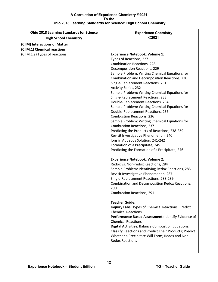| <b>Ohio 2018 Learning Standards for Science</b> | <b>Experience Chemistry</b>                                                |
|-------------------------------------------------|----------------------------------------------------------------------------|
| <b>High School Chemistry</b>                    | ©2021                                                                      |
| (C.IM) Interactions of Matter                   |                                                                            |
| (C.IM.1) Chemical reactions                     |                                                                            |
| (C.IM.1.a) Types of reactions                   | <b>Experience Notebook, Volume 1:</b>                                      |
|                                                 | Types of Reactions, 227                                                    |
|                                                 | <b>Combination Reactions, 228</b>                                          |
|                                                 | Decomposition Reactions, 229                                               |
|                                                 | Sample Problem: Writing Chemical Equations for                             |
|                                                 | Combination and Decomposition Reactions, 230                               |
|                                                 | Single-Replacement Reactions, 231                                          |
|                                                 | <b>Activity Series, 232</b>                                                |
|                                                 | Sample Problem: Writing Chemical Equations for                             |
|                                                 | Single-Replacement Reactions, 233                                          |
|                                                 | Double-Replacement Reactions, 234                                          |
|                                                 | Sample Problem: Writing Chemical Equations for                             |
|                                                 | Double-Replacement Reactions, 235                                          |
|                                                 | <b>Combustion Reactions, 236</b>                                           |
|                                                 | Sample Problem: Writing Chemical Equations for                             |
|                                                 | <b>Combustion Reactions, 237</b>                                           |
|                                                 | Predicting the Products of Reactions, 238-239                              |
|                                                 | Revisit Investigative Phenomenon, 240<br>Ions in Aqueous Solution, 241-242 |
|                                                 | Formation of a Precipitate, 245                                            |
|                                                 | Predicting the Formation of a Precipitate, 246                             |
|                                                 |                                                                            |
|                                                 | <b>Experience Notebook, Volume 2:</b>                                      |
|                                                 | Redox vs. Non-redox Reactions, 284                                         |
|                                                 | Sample Problem: Identifying Redox Reactions, 285                           |
|                                                 | Revisit Investigative Phenomenon, 287                                      |
|                                                 | Single-Replacement Reactions, 288-289                                      |
|                                                 | Combination and Decomposition Redox Reactions,                             |
|                                                 | 290                                                                        |
|                                                 | <b>Combustion Reactions, 291</b>                                           |
|                                                 | <b>Teacher Guide:</b>                                                      |
|                                                 | Inquiry Labs: Types of Chemical Reactions; Predict                         |
|                                                 | <b>Chemical Reactions</b>                                                  |
|                                                 | Performance Based Assessment: Identify Evidence of                         |
|                                                 | <b>Chemical Reactions</b>                                                  |
|                                                 | <b>Digital Activities: Balance Combustion Equations;</b>                   |
|                                                 | Classify Reactions and Predict Their Products; Predict                     |
|                                                 | Whether a Precipitate Will Form; Redox and Non-                            |
|                                                 | <b>Redox Reactions</b>                                                     |
|                                                 |                                                                            |
|                                                 |                                                                            |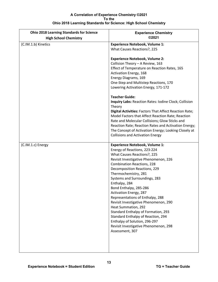| <b>Experience Chemistry</b><br>©2021                                                                                                                                                                                                                                                                                                                                                                                                                                                                                                                                                                                           |
|--------------------------------------------------------------------------------------------------------------------------------------------------------------------------------------------------------------------------------------------------------------------------------------------------------------------------------------------------------------------------------------------------------------------------------------------------------------------------------------------------------------------------------------------------------------------------------------------------------------------------------|
|                                                                                                                                                                                                                                                                                                                                                                                                                                                                                                                                                                                                                                |
| <b>Experience Notebook, Volume 1:</b><br>What Causes Reactions?, 225                                                                                                                                                                                                                                                                                                                                                                                                                                                                                                                                                           |
| <b>Experience Notebook, Volume 2:</b><br>Collision Theory - A Review, 163<br>Effect of Temperature on Reaction Rates, 165<br>Activation Energy, 168<br>Energy Diagrams, 169<br>One-Step and Multistep Reactions, 170<br>Lowering Activation Energy, 171-172                                                                                                                                                                                                                                                                                                                                                                    |
| <b>Teacher Guide:</b><br>Inquiry Labs: Reaction Rates: Iodine Clock; Collision<br>Theory<br>Digital Activities: Factors That Affect Reaction Rate;<br>Model Factors that Affect Reaction Rate; Reaction<br>Rate and Molecular Collisions; Glow Sticks and<br>Reaction Rate; Reaction Rates and Activation Energy;<br>The Concept of Activation Energy; Looking Closely at<br><b>Collisions and Activation Energy</b>                                                                                                                                                                                                           |
| <b>Experience Notebook, Volume 1:</b><br>Energy of Reactions, 223-224<br>What Causes Reactions?, 225<br>Revisit Investigative Phenomenon, 226<br><b>Combination Reactions, 228</b><br>Decomposition Reactions, 229<br>Thermochemistry, 281<br>Systems and Surroundings, 283<br>Enthalpy, 284<br>Bond Enthalpy, 285-286<br>Activation Energy, 287<br>Representations of Enthalpy, 288<br>Revisit Investigative Phenomenon, 290<br>Heat Summation, 292<br>Standard Enthalpy of Formation, 293<br>Standard Enthalpy of Reaction, 294<br>Enthalpy of Solution, 296-297<br>Revisit Investigative Phenomenon, 298<br>Assessment, 307 |
|                                                                                                                                                                                                                                                                                                                                                                                                                                                                                                                                                                                                                                |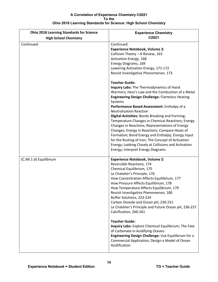| <b>Ohio 2018 Learning Standards for Science</b><br><b>High School Chemistry</b> | <b>Experience Chemistry</b><br>©2021                                                                                                                                                                                                                                                                                                                                                                                                                                                                                                                                                                                                                                                                                  |
|---------------------------------------------------------------------------------|-----------------------------------------------------------------------------------------------------------------------------------------------------------------------------------------------------------------------------------------------------------------------------------------------------------------------------------------------------------------------------------------------------------------------------------------------------------------------------------------------------------------------------------------------------------------------------------------------------------------------------------------------------------------------------------------------------------------------|
| Continued:                                                                      | Continued:<br><b>Experience Notebook, Volume 2:</b><br>Collision Theory - A Review, 163<br>Activation Energy, 168<br>Energy Diagrams, 169<br>Lowering Activation Energy, 171-172<br>Revisit Investigative Phenomenon, 173<br><b>Teacher Guide:</b><br>Inquiry Labs: The Thermodynamics of Hand<br>Warmers; Hess's Law and the Combustion of a Metal                                                                                                                                                                                                                                                                                                                                                                   |
|                                                                                 | <b>Engineering Design Challenge: Flameless Heating</b><br>Systems<br>Performance Based Assessment: Enthalpy of a<br><b>Neutralization Reaction</b><br>Digital Activities: Bonds Breaking and Forming;<br>Temperature Changes in Chemical Reactions; Energy<br>Changes in Reactions; Representations of Energy<br>Changes; Energy in Reactions; Compare Heats of<br>Formation; Bond Energy and Enthalpy; Energy Input<br>for the Rusting of Iron; The Concept of Activation<br>Energy; Looking Closely at Collisions and Activation<br>Energy; Interpret Energy Diagrams                                                                                                                                               |
| (C.IM.1.d) Equilibrium                                                          | <b>Experience Notebook, Volume 2:</b><br>Reversible Reactions, 174<br>Chemical Equilibrium, 175<br>Le Chatelier's Principle, 176<br>How Concentration Affects Equilibrium, 177<br>How Pressure Affects Equilibrium, 178<br>How Temperature Affects Equilibrium, 179<br>Revisit Investigative Phenomenon, 180<br>Buffer Solutions, 223-224<br>Carbon Dioxide and Ocean pH, 230-231<br>Le Chatelier's Principle and Future Ocean pH, 236-237<br>Calcification, 260-261<br><b>Teacher Guide:</b><br>Inquiry Labs: Explore Chemical Equilibrium; The Fate<br>of Carbonate in Acidifying Oceans<br>Engineering Design Challenge: Use Equilibrium for a<br>Commercial Application; Design a Model of Ocean<br>Acidification |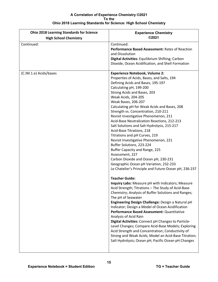| <b>Ohio 2018 Learning Standards for Science</b><br><b>High School Chemistry</b> | <b>Experience Chemistry</b><br>©2021                                                                                                                                                                                                                                                                                                                                                                                                                                                                                                                                                                                                                                                                                                                                                                                                                                                                                                                                                                                                                                                                                                                                                                                                                                                                                                                                                                                                                                                |
|---------------------------------------------------------------------------------|-------------------------------------------------------------------------------------------------------------------------------------------------------------------------------------------------------------------------------------------------------------------------------------------------------------------------------------------------------------------------------------------------------------------------------------------------------------------------------------------------------------------------------------------------------------------------------------------------------------------------------------------------------------------------------------------------------------------------------------------------------------------------------------------------------------------------------------------------------------------------------------------------------------------------------------------------------------------------------------------------------------------------------------------------------------------------------------------------------------------------------------------------------------------------------------------------------------------------------------------------------------------------------------------------------------------------------------------------------------------------------------------------------------------------------------------------------------------------------------|
|                                                                                 |                                                                                                                                                                                                                                                                                                                                                                                                                                                                                                                                                                                                                                                                                                                                                                                                                                                                                                                                                                                                                                                                                                                                                                                                                                                                                                                                                                                                                                                                                     |
| Continued:                                                                      | Continued:<br>Performance Based Assessment: Rates of Reaction<br>and Dissolution<br>Digital Activities: Equilibrium Shifting; Carbon<br>Dioxide, Ocean Acidification, and Shell Formation                                                                                                                                                                                                                                                                                                                                                                                                                                                                                                                                                                                                                                                                                                                                                                                                                                                                                                                                                                                                                                                                                                                                                                                                                                                                                           |
| (C.IM.1.e) Acids/bases                                                          | <b>Experience Notebook, Volume 2:</b><br>Properties of Acids, Bases, and Salts, 194<br>Defining Acids and Bases, 195-197<br>Calculating pH, 199-200<br>Strong Acids and Bases, 203<br>Weak Acids, 204-205<br>Weak Bases, 206-207<br>Calculating pH for Weak Acids and Bases, 208<br>Strength vs. Concentration, 210-211<br>Revisit Investigative Phenomenon, 211<br>Acid-Base Neutralization Reactions, 212-213<br>Salt Solutions and Salt Hydrolysis, 215-217<br>Acid-Base Titrations, 218<br>Titrations and pH Curves, 219<br>Revisit Investigative Phenomenon, 221<br>Buffer Solutions, 223-224<br>Buffer Capacity and Range, 225<br>Assessment, 227<br>Carbon Dioxide and Ocean pH, 230-231<br>Geographic Ocean pH Variation, 232-233<br>Le Chatelier's Principle and Future Ocean pH, 236-237<br><b>Teacher Guide:</b><br>Inquiry Labs: Measure pH with Indicators; Measure<br>Acid Strength; Titrations - The Study of Acid-Base<br>Chemistry; Analysis of Buffer Solutions and Ranges;<br>The pH of Seawater<br>Engineering Design Challenge: Design a Natural pH<br>Indicator; Design a Model of Ocean Acidification<br>Performance Based Assessment: Quantitative<br>Analysis of Acid Rain<br>Digital Activities: Connect pH Changes to Particle-<br>Level Changes; Compare Acid-Base Models; Exploring<br>Acid Strength and Concentration; Conductivity of<br>Strong and Weak Acids; Model an Acid-Base Titration;<br>Salt Hydrolysis; Ocean pH; Pacific Ocean pH Changes |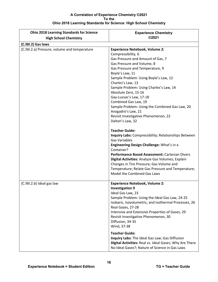| <b>Ohio 2018 Learning Standards for Science</b> | <b>Experience Chemistry</b>                                                                                                                                                                                                                                                                                                                                                                                                                                                                                                                                                                                                                                                                                                                                                                                                                                                                                            |
|-------------------------------------------------|------------------------------------------------------------------------------------------------------------------------------------------------------------------------------------------------------------------------------------------------------------------------------------------------------------------------------------------------------------------------------------------------------------------------------------------------------------------------------------------------------------------------------------------------------------------------------------------------------------------------------------------------------------------------------------------------------------------------------------------------------------------------------------------------------------------------------------------------------------------------------------------------------------------------|
| <b>High School Chemistry</b>                    | ©2021                                                                                                                                                                                                                                                                                                                                                                                                                                                                                                                                                                                                                                                                                                                                                                                                                                                                                                                  |
| (C.IM.2) Gas laws                               |                                                                                                                                                                                                                                                                                                                                                                                                                                                                                                                                                                                                                                                                                                                                                                                                                                                                                                                        |
| (C.IM.2.a) Pressure, volume and temperature     | <b>Experience Notebook, Volume 2:</b><br>Compressibility, 6<br>Gas Pressure and Amount of Gas, 7<br>Gas Pressure and Volume, 8<br>Gas Pressure and Temperature, 9<br>Boyle's Law, 11<br>Sample Problem: Using Boyle's Law, 12<br>Charles's Law, 13<br>Sample Problem: Using Charles's Law, 14<br>Absolute Zero, 15-16<br>Gay-Lussac's Law, 17-18<br>Combined Gas Law, 19<br>Sample Problem: Using the Combined Gas Law, 20<br>Avogadro's Law, 21<br>Revisit Investigative Phenomenon, 22<br>Dalton's Law, 32<br><b>Teacher Guide:</b><br>Inquiry Labs: Compressibility; Relationships Between<br><b>Gas Variables</b><br>Engineering Design Challenge: What's in a<br>Container?<br>Performance Based Assessment: Cartesian Divers<br>Digital Activities: Analyze Gas Volumes; Explain<br>Changes in Tire Pressure; Gas Volume and<br>Temperature; Relate Gas Pressure and Temperature;<br>Model the Combined Gas Laws |
| (C.IM.2.b) Ideal gas law                        | <b>Experience Notebook, Volume 2:</b><br><b>Investigation 9</b><br>Ideal Gas Law, 23<br>Sample Problem: Using the Ideal Gas Law, 24-25<br>Isobaric, Isovolumetric, and Isothermal Processes, 26<br>Real Gases, 27-28<br>Intensive and Extensive Properties of Gases, 29<br>Revisit Investigative Phenomenon, 30<br>Diffusion, 34-35<br>Wind, 37-38                                                                                                                                                                                                                                                                                                                                                                                                                                                                                                                                                                     |
|                                                 | <b>Teacher Guide:</b><br>Inquiry Labs: The Ideal Gas Law; Gas Diffusion<br>Digital Activities: Real vs. Ideal Gases; Why Are There<br>No Ideal Gases?; Nature of Science in Gas Laws                                                                                                                                                                                                                                                                                                                                                                                                                                                                                                                                                                                                                                                                                                                                   |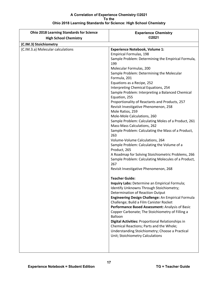| ©2021<br><b>High School Chemistry</b><br><b>Experience Notebook, Volume 1:</b><br><b>Empirical Formulas, 198</b><br>Sample Problem: Determining the Empirical Formula,<br>199<br>Molecular Formulas, 200<br>Sample Problem: Determining the Molecular<br>Formula, 201<br>Equations as a Recipe, 252<br>Interpreting Chemical Equations, 254<br>Sample Problem: Interpreting a Balanced Chemical<br>Equation, 255<br>Proportionality of Reactants and Products, 257<br>Revisit Investigative Phenomenon, 258<br>Mole Ratios, 259<br>Mole-Mole Calculations, 260<br>Sample Problem: Calculating Moles of a Product, 261<br>Mass-Mass Calculations, 262<br>Sample Problem: Calculating the Mass of a Product,<br>263<br>Volume-Volume Calculations, 264<br>Sample Problem: Calculating the Volume of a<br>Product, 265<br>A Roadmap for Solving Stoichiometric Problems, 266<br>Sample Problem: Calculating Molecules of a Product,<br>267<br>Revisit Investigative Phenomenon, 268<br><b>Teacher Guide:</b><br>Inquiry Labs: Determine an Empirical Formula;<br><b>Identify Unknowns Through Stoichiometry;</b><br>Determination of Reaction Output<br>Engineering Design Challenge: An Empirical Formula<br>Challenge; Build a Film Canister Rocket<br>Performance Based Assessment: Analysis of Basic<br>Copper Carbonate; The Stoichiometry of Filling a | <b>Ohio 2018 Learning Standards for Science</b> | <b>Experience Chemistry</b> |
|-----------------------------------------------------------------------------------------------------------------------------------------------------------------------------------------------------------------------------------------------------------------------------------------------------------------------------------------------------------------------------------------------------------------------------------------------------------------------------------------------------------------------------------------------------------------------------------------------------------------------------------------------------------------------------------------------------------------------------------------------------------------------------------------------------------------------------------------------------------------------------------------------------------------------------------------------------------------------------------------------------------------------------------------------------------------------------------------------------------------------------------------------------------------------------------------------------------------------------------------------------------------------------------------------------------------------------------------------------------|-------------------------------------------------|-----------------------------|
|                                                                                                                                                                                                                                                                                                                                                                                                                                                                                                                                                                                                                                                                                                                                                                                                                                                                                                                                                                                                                                                                                                                                                                                                                                                                                                                                                           |                                                 |                             |
|                                                                                                                                                                                                                                                                                                                                                                                                                                                                                                                                                                                                                                                                                                                                                                                                                                                                                                                                                                                                                                                                                                                                                                                                                                                                                                                                                           | (C.IM.3) Stoichiometry                          |                             |
| Digital Activities: Proportional Relationships in<br>Chemical Reactions; Parts and the Whole;<br>Understanding Stoichiometry; Choose a Practical<br>Unit; Stoichiometry Calculations                                                                                                                                                                                                                                                                                                                                                                                                                                                                                                                                                                                                                                                                                                                                                                                                                                                                                                                                                                                                                                                                                                                                                                      | (C.IM.3.a) Molecular calculations               | Balloon                     |
|                                                                                                                                                                                                                                                                                                                                                                                                                                                                                                                                                                                                                                                                                                                                                                                                                                                                                                                                                                                                                                                                                                                                                                                                                                                                                                                                                           |                                                 |                             |